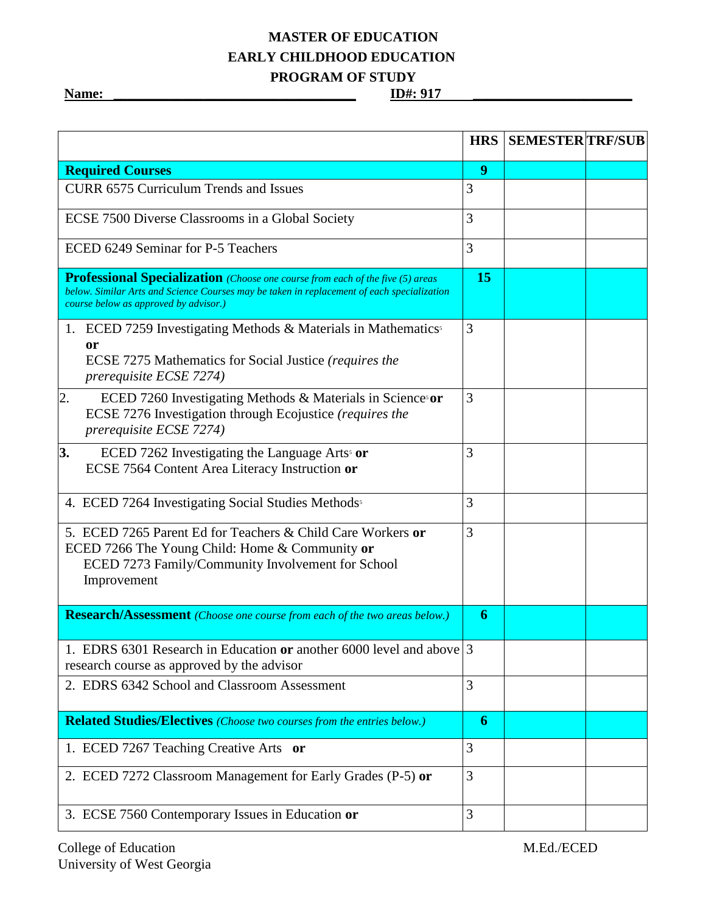## **MASTER OF EDUCATION EARLY CHILDHOOD EDUCATION PROGRAM OF STUDY**

**Name: \_\_\_\_\_\_\_\_\_\_\_\_\_\_\_\_\_\_\_\_\_\_\_\_\_\_\_\_\_\_\_\_\_\_\_ ID#: 917 \_\_\_\_\_\_\_\_\_\_\_\_\_\_\_\_\_\_\_\_\_\_\_**

|                                                                                                                                                                                                                              | <b>HRS</b> | <b>SEMESTER TRF/SUB</b> |  |
|------------------------------------------------------------------------------------------------------------------------------------------------------------------------------------------------------------------------------|------------|-------------------------|--|
| <b>Required Courses</b>                                                                                                                                                                                                      | 9          |                         |  |
| <b>CURR 6575 Curriculum Trends and Issues</b>                                                                                                                                                                                | 3          |                         |  |
| ECSE 7500 Diverse Classrooms in a Global Society                                                                                                                                                                             | 3          |                         |  |
| ECED 6249 Seminar for P-5 Teachers                                                                                                                                                                                           | 3          |                         |  |
| <b>Professional Specialization</b> (Choose one course from each of the five (5) areas<br>below. Similar Arts and Science Courses may be taken in replacement of each specialization<br>course below as approved by advisor.) | 15         |                         |  |
| 1. ECED 7259 Investigating Methods & Materials in Mathematics <sup>5</sup><br>0r<br>ECSE 7275 Mathematics for Social Justice (requires the<br><i>prerequisite ECSE 7274)</i>                                                 | 3          |                         |  |
| 2.<br>ECED 7260 Investigating Methods & Materials in Science or<br>ECSE 7276 Investigation through Ecojustice (requires the<br>prerequisite ECSE 7274)                                                                       | 3          |                         |  |
| 3.<br>ECED 7262 Investigating the Language Arts <sup>5</sup> or<br>ECSE 7564 Content Area Literacy Instruction or                                                                                                            | 3          |                         |  |
| 4. ECED 7264 Investigating Social Studies Methods                                                                                                                                                                            | 3          |                         |  |
| 5. ECED 7265 Parent Ed for Teachers & Child Care Workers or<br>ECED 7266 The Young Child: Home & Community or<br>ECED 7273 Family/Community Involvement for School<br>Improvement                                            | 3          |                         |  |
| <b>Research/Assessment</b> (Choose one course from each of the two areas below.)                                                                                                                                             | 6          |                         |  |
| 1. EDRS 6301 Research in Education or another 6000 level and above 3<br>research course as approved by the advisor                                                                                                           |            |                         |  |
| 2. EDRS 6342 School and Classroom Assessment                                                                                                                                                                                 | 3          |                         |  |
| <b>Related Studies/Electives</b> (Choose two courses from the entries below.)                                                                                                                                                | 6          |                         |  |
| 1. ECED 7267 Teaching Creative Arts or                                                                                                                                                                                       | 3          |                         |  |
| 2. ECED 7272 Classroom Management for Early Grades (P-5) or                                                                                                                                                                  | 3          |                         |  |
| 3. ECSE 7560 Contemporary Issues in Education or                                                                                                                                                                             | 3          |                         |  |